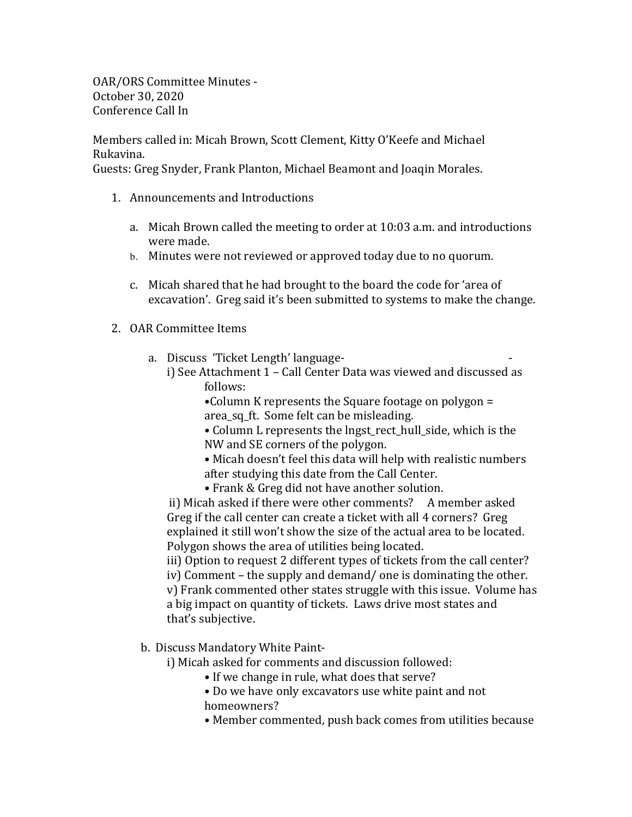OAR/ORS Committee Minutes -October 30, 2020 Conference Call In

Members called in: Micah Brown, Scott Clement, Kitty O'Keefe and Michael Rukavina.

Guests: Greg Snyder, Frank Planton, Michael Beamont and Joaqin Morales.

- 1. Announcements and Introductions
	- a. Micah Brown called the meeting to order at 10:03 a.m. and introductions were made.
	- b. Minutes were not reviewed or approved today due to no quorum.
	- c. Micah shared that he had brought to the board the code for 'area of excavation'. Greg said it's been submitted to systems to make the change.
- 2. OAR Committee Items
	- a. Discuss 'Ticket Length' language
		- i) See Attachment 1 Call Center Data was viewed and discussed as follows:
			- •Column K represents the Square footage on polygon  $=$ area sq ft. Some felt can be misleading.
			- Column L represents the lngst\_rect\_hull\_side, which is the NW and SE corners of the polygon.
			- Micah doesn't feel this data will help with realistic numbers after studying this date from the Call Center.
			- Frank & Greg did not have another solution.

ii) Micah asked if there were other comments? A member asked Greg if the call center can create a ticket with all 4 corners? Greg explained it still won't show the size of the actual area to be located. Polygon shows the area of utilities being located.

iii) Option to request 2 different types of tickets from the call center? iv) Comment – the supply and demand/ one is dominating the other. v) Frank commented other states struggle with this issue. Volume has a big impact on quantity of tickets. Laws drive most states and that's subjective.

- b. Discuss Mandatory White Paint
	- i) Micah asked for comments and discussion followed:
		- If we change in rule, what does that serve?
		- Do we have only excavators use white paint and not homeowners?
		- Member commented, push back comes from utilities because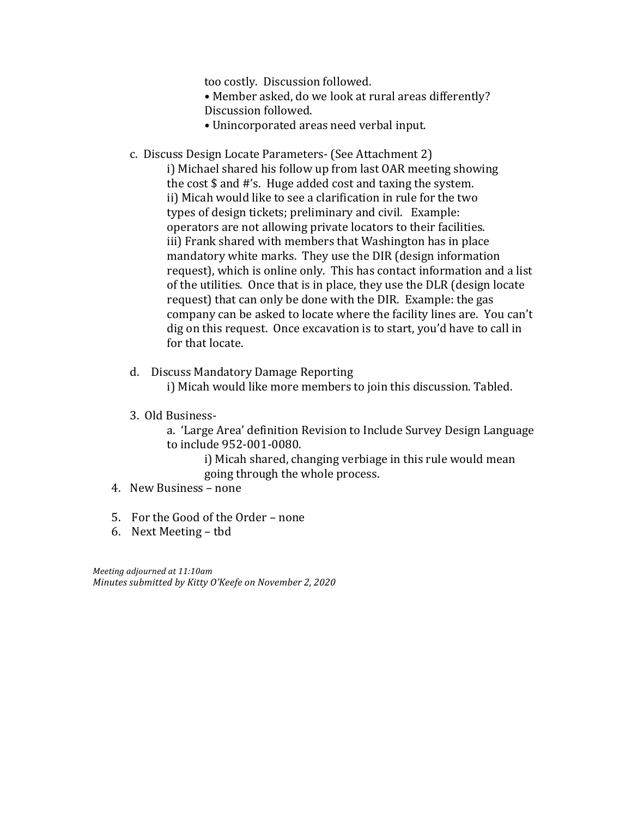too costly. Discussion followed.

- Member asked, do we look at rural areas differently? Discussion followed.
- Unincorporated areas need verbal input.
- c. Discuss Design Locate Parameters- (See Attachment 2)
	- i) Michael shared his follow up from last OAR meeting showing the cost  $\frac{1}{2}$  and  $\frac{1}{2}$ 's. Huge added cost and taxing the system. ii) Micah would like to see a clarification in rule for the two types of design tickets; preliminary and civil. Example: operators are not allowing private locators to their facilities. iii) Frank shared with members that Washington has in place mandatory white marks. They use the DIR (design information request), which is online only. This has contact information and a list of the utilities. Once that is in place, they use the DLR (design locate) request) that can only be done with the DIR. Example: the gas company can be asked to locate where the facility lines are. You can't dig on this request. Once excavation is to start, you'd have to call in for that locate.
- d. Discuss Mandatory Damage Reporting i) Micah would like more members to join this discussion. Tabled.
- 3. Old Business
	- a. 'Large Area' definition Revision to Include Survey Design Language to include 952-001-0080.
		- i) Micah shared, changing verbiage in this rule would mean going through the whole process.
- 4. New Business none
- 5. For the Good of the Order none
- 6. Next Meeting tbd

*Meeting adjourned at 11:10am Minutes submitted by Kitty O'Keefe on November 2, 2020*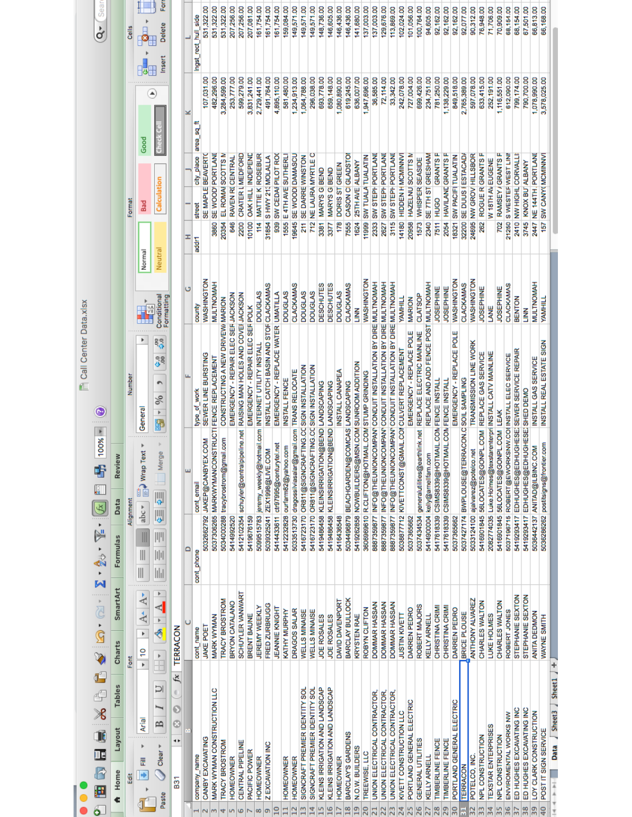|                |                                                             |                                                                 |                                                                                             |                                                                     | Call Center Data.xlsx                                                                                                                 |                                     |                  |                                               |                              |                                    |
|----------------|-------------------------------------------------------------|-----------------------------------------------------------------|---------------------------------------------------------------------------------------------|---------------------------------------------------------------------|---------------------------------------------------------------------------------------------------------------------------------------|-------------------------------------|------------------|-----------------------------------------------|------------------------------|------------------------------------|
|                | 疆                                                           | EE X & B ダ IQ・2 × 2 × 2 × 2 × 2 × 2                             |                                                                                             | $100% =$<br>Ŧ<br>H<br>$\mathscr{F}$                                 | $\odot$                                                                                                                               |                                     |                  |                                               |                              | Sea<br>à                           |
|                | <b>Tables</b><br>Layout<br>A Home                           | SmartArt<br>Charts                                              | Formulas                                                                                    | Review<br>Data                                                      |                                                                                                                                       |                                     |                  |                                               |                              |                                    |
|                | Ēdi                                                         | Font                                                            |                                                                                             | Alignment                                                           | Number                                                                                                                                |                                     | Format           |                                               |                              | Cells                              |
|                | Arial<br>룬<br>Þ                                             | $A^{\star}$<br>$A^{\star}$<br>$\overline{r}$<br>$\overline{10}$ | $\blacksquare$<br>$\begin{array}{c} \hline \end{array}$                                     | Text<br>aeuw C<br>abc                                               | General                                                                                                                               | Normal<br><b>AM</b><br>E            | <b>Bad</b>       | Good                                          |                              |                                    |
|                | U<br>$\mathbf{B}$<br>Clear<br>Paste                         | $\frac{1}{2}$<br>H.                                             | $\mathbb{I}$<br>$\begin{aligned} \boxed{  }\,    \,    \end{aligned}$<br>$\frac{1}{2}$<br>. | lerge<br>≥<br>W<br>IJ                                               | ိနိ<br>38<br>$\%$<br>Þ                                                                                                                | Neutra<br>Conditional<br>Formatting |                  | Calculation                                   | ٥                            | 운<br>Delete<br>Insert              |
|                | C.<br>Ø<br>Ø<br>٠<br><b>B31</b>                             | TERRACON<br>fx                                                  |                                                                                             |                                                                     |                                                                                                                                       |                                     |                  |                                               |                              |                                    |
|                |                                                             |                                                                 | ≏                                                                                           | ш                                                                   |                                                                                                                                       | U                                   | Ŧ                |                                               | ×                            |                                    |
|                | CANBY EXCAVATING<br>company_name                            | <b>JAKE POET</b><br>cont_name                                   | cont_phone                                                                                  | 5032662792 JAKEP@CANBYEX.COM<br>cont_email                          | SEWER LINE BURSTING<br>type_of_work                                                                                                   | <b>WASHINGTON</b><br>county         | street<br>addri  | city_place area_sq<br>SE MAPLE BEAVERTO       | 107,031.00                   | 531,322.00<br>Ingst_rect_hull_side |
|                | MARK WYMAN CONSTRUCTION LLC                                 | MARK WYMAN                                                      |                                                                                             | 5037306265 MARKWYMANCONSTRUCTI FENCE REPLACEMENT                    |                                                                                                                                       | <b>MULTNOMAH</b>                    | 3860             | SE WOOD PORTLAND                              | 482,296.00                   | 531,322.00                         |
|                | <b>TRACY BROSTROM</b>                                       | <b>TRACY BROSTROM</b>                                           |                                                                                             | 5034000288 tracybrostrom@gmail.com                                  | CONSTRUCTING A NEW DRIVEW MARION                                                                                                      |                                     | 20354            | EL ROMAI SCOTTS M                             | 3,284,599.00                 | 531,322.00                         |
|                | <b>HOMEOWNER</b>                                            | BRYON CATALANO                                                  | 5414992520                                                                                  |                                                                     | EMERGENCY - REPAIR ELEC SER JACKSON                                                                                                   |                                     | 646              | RAVEN RI CENTRAL                              | 253,777.00                   | 207,256.00                         |
|                | CENTRAL PIPELINE<br>PACIFIC POWER                           | SCHUYLER VANWART<br>BRENT BAUNE                                 | 5412102354                                                                                  | schuyler@centralpipeline.net                                        | RAISING MAN HOLES AND COVEI JACKSON                                                                                                   |                                     | 2200             | CRATER LIMEDFORD                              | 599,279.00                   | 207,256.00                         |
| œ              | <b>HOMEOWNER</b>                                            | <b>JEREMY WEEKLY</b>                                            | 5419676159                                                                                  | 5099515783 jeremy_weekly@hotmail.com                                | EMERGENCY - REPAIR ELEC SER POLK<br>INTERNET UTILITY INSTALL                                                                          | <b>DOUGLAS</b>                      | Ħ4               | 10100 OAK HILL INDEPEND<br>MATTIE K ROSEBUR   | 3,831,241.00<br>2,729,441.00 | 207,081.00<br>161,754.00           |
| œ              | Z EXCAVATION INC                                            | FRED ZURBRUGG                                                   | 5039325241                                                                                  | ZEX1998@LIVE.COM                                                    | INSTALL CATCH BASIN AND STOF CLACKAMAS                                                                                                |                                     | 31854            | S HWY 213 MOLALLA                             | 491,764.00                   | 161,754.00                         |
| 0              |                                                             | <b>JEANNIE KNIGHT</b>                                           |                                                                                             | 5414433611 ctr97995@centurytel.net                                  | EMERGENCY - REPLACE WATER UMATILLA                                                                                                    |                                     | 939              | SW CEDAI PILOT ROO                            | 4,895,110.00                 | 161,754.00                         |
|                | <b>HOMEOWNER</b>                                            | KATHY MURPHY                                                    |                                                                                             | 5412232828 ourfarm82@yahoo.com                                      | INSTALL FENCE                                                                                                                         | <b>DOUGLAS</b>                      |                  | 1555 E 4TH AVE SUTHERLI                       | 581,480.00                   | 159,084.00                         |
|                | <b>HOMEOWNER</b>                                            | DRAGOS SALAR                                                    | 5033513730                                                                                  | dragossilviasalar@gmail.com TRANS RELOCATE                          |                                                                                                                                       | CLACKAMAS                           |                  | 19645 SE WOODI DAMASCU                        | 234,913.00                   | 149,571.00                         |
| m              | SIGNCRAFT PREMIER IDENTITY SOL                              | <b>WELLS MINAISE</b>                                            |                                                                                             | 5416723170 OR811@SIGNCRAFTING.CC SIGN INSTALLATION                  |                                                                                                                                       | <b>DOUGLAS</b>                      |                  | 211 SE DARREWINSTON                           | 1,064,788.00                 | 149,571.00                         |
| 4              | SIGNCRAFT PREMIER IDENTITY SOL                              | <b>WELLS MINAISE</b>                                            |                                                                                             | 5416723170 OR811@SIGNCRAFTING.CC SIGN INSTALLATION                  |                                                                                                                                       | <b>DOUGLAS</b>                      |                  | 712 NE LAURA MYRTLE C                         | 296,038.00                   | 149,571.00                         |
| Lŋ             | KLEINS IRRIGATION AND LANDSCAP                              | JOE ROSALES                                                     |                                                                                             | 5419486458   KLEINSIRRIGATION@BEND   LANDSCAPING                    |                                                                                                                                       | <b>DESCHUTES</b>                    | 3381             | MARYS G BEND                                  | 693,778.00                   | 148,736.00                         |
| 6              | KLEINS IRRIGATION AND LANDSCAP<br><b>HOMEOWNER</b>          | DAVID DAVENPORT<br>JOE ROSALES                                  | 5416436548                                                                                  | 5419486458 KLEINSIRRIGATION@BEND LANDSCAPING                        | INSTALL CANAPEA                                                                                                                       | <b>DESCHUTES</b><br><b>DOUGLAS</b>  | 178<br>3377      | DORIS ST GREEN<br>MARYS G BEND                | 659,148.00<br>,080,890.00    | 146,436.00<br>146,605.00           |
| œ              | BARCLAY'S GARDENS                                           | BARCLAY BULLOCK                                                 |                                                                                             | 5034496879 BEACHGARDEN@COMCAS LANDSCAPING                           |                                                                                                                                       | CLACKAMAS                           | 7555             | CASON CIGLADSTO                               | 619,245.00                   | 146,436.00                         |
| G              | N.O.W. BUILDERS                                             | <b>KRYSTEN RAE</b>                                              | 5419262858                                                                                  | NOWBUILDERS@MSN.COM SUNROOM ADDITION                                |                                                                                                                                       | š                                   | 1624             | 25TH AVE ALBANY                               | 636,007.00                   | 141,680.00                         |
| ន              | TREEWISE, LLC                                               | ROBYN CLIFTON                                                   |                                                                                             | 3606969610 R.CLIFTON@HOTMAIL.COM STUMP GRINDING                     |                                                                                                                                       | WASHINGTON                          | 11999            | <b>SW TUALA TUALATIN</b>                      | 947,696.00                   | 137,003.00                         |
|                | UNION ELECTRICAL CONTRACTOR.                                | DOMMAR HASSAN                                                   |                                                                                             |                                                                     | 8887359877 INFO@THEUNIONCOMPANY CONDUIT INSTALLATION BY DIRE MULTNOMAH                                                                |                                     |                  | 2333 SW STEPH PORTLAND                        | 36,585.00                    | 137,003.00                         |
|                | UNION ELECTRICAL CONTRACTOR,<br>UNION ELECTRICAL CONTRACTOR | DOMMAR HASSAN<br>DOMMAR HASSAN                                  | 8887359877                                                                                  |                                                                     | B887359877 INFO@THEUNIONCOMPAN' CONDUIT INSTALLATION BY DIRE MULTNOMAH<br>INFO@THEUNIONCOMPANY CONDUIT INSTALLATION BY DIRE MULTNOMAH |                                     | 3115<br>2627     | <b>SW STEPH PORTLAND</b><br>SW STEPH PORTLAND | 72,114.00<br>33,342.00       | 129,676.00<br>113,869.00           |
| $\overline{2}$ | KIVETT CONSTRUCTION LLC                                     | <b>JUSTIN KIVETT</b>                                            |                                                                                             | 5038877712 KIVETTCONST@GMAIL.COM CULVERT REPLACEMENT                |                                                                                                                                       | <b>TIHHMAA</b>                      |                  | 14180 HIDDEN HMCMINNVI                        | 242,078.00                   | 102,024.00                         |
| 25             | PORTLAND GENERAL ELECTRIC                                   | DARREN PEDRO                                                    | 5037365662                                                                                  |                                                                     | EMERGENCY - REPLACE POLE                                                                                                              | <b>MARION</b>                       |                  | 20958 HAZELNU SCOTTS M                        | 727.004.00                   | 101,056.00                         |
| 26             | GENERAL UTILITIES                                           | ROBERT MAJORS                                                   | 5037434534                                                                                  |                                                                     | generalutilities@earthlink.net REPLACE ELECTRIC MAINLINE                                                                              | CLATSOP                             | 1573             | WHISPER SEASIDE                               | 699,426.00                   | 100,764.00                         |
|                | <b>KELLY ARNELL</b>                                         | <b>KELLY ARNELL</b>                                             | 5414900004                                                                                  | kelly@arnellfam.com                                                 | REPLACE AND ADD FENCE POST MULTNOMAH                                                                                                  |                                     | 2340             | SE 7TH ST GRESHAM                             | 234,751.00                   | 94,605.00                          |
| 28             | <b>TIMBERLINE FENCE</b>                                     | CHRISTINA CRIMI                                                 |                                                                                             | 5417618339 CSIMS8339@HOTMAIL.COM FENCE INSTALL                      |                                                                                                                                       | <b>JOSEPHINE</b>                    | <b>7511 HUGO</b> | <b>GRANTSF</b>                                | 781,250.00                   | 92,162.00                          |
| 29<br>ន្ល      | ELECTRIC<br>PORTLAND GENERAL<br>TIMBERLINE FENCE            | CHRISTINA CRIMI<br>DARREN PEDRO                                 | 5037365662                                                                                  | 5417618339 CSIMS8339@HOTMAIL.CON FENCE INSTALL                      | EMERGENCY - REPLACE POLE                                                                                                              | WASHINGTON<br><b>JOSEPHINE</b>      | 18321            | 2054 HAVILANE GRANTS F<br>SW PACIFI TUALATIN  | 849,518.00<br>1,138,229.00   | 92,162.00<br>92,162.00             |
|                | <b>TERRACON</b>                                             | BRICE PLOUSE                                                    |                                                                                             | 5037427174 BWPLOUSE@T                                               | ERRACON.C SOIL SAMPLING                                                                                                               | CLACKAMAS                           | 32200            | SE DUUS I ESTACAD/                            | 2,765,389.00                 | 92,077.00                          |
| 32             | POTELCO, INC.                                               | ANTHONY ALVAREZ                                                 |                                                                                             | 5033124100 ajalvarez@potelco.net                                    | TRANSMISSION LINE WORK                                                                                                                | WASHINGTON                          |                  | 24695 NW GROV HILLSBOR                        | 597,078.00                   | 90,312.00                          |
| 33             | NPL CONSTRUCTION                                            | CHARLES WALTON                                                  |                                                                                             | 5416901845 56LOCATES@GONPL.COM REPLACE GAS SERVICE                  |                                                                                                                                       | <b>JOSEPHINE</b>                    | 262              | ROGUE R GRANTS F                              | 633,415.00                   | 76,948.00                          |
| 34             | <b>TEXSTAR ENTERPRISES</b>                                  | LUKE HOLMES                                                     | 2082774035                                                                                  |                                                                     | Luke.Holmes@texstarenterpri INSTALL CATV MAINLINE                                                                                     | LANE                                |                  | W 18TH AV EUGENE                              | 252,191.00                   | 71,706.00                          |
| 35             | <b>NPL CONSTRUCTION</b>                                     | CHARLES WALTON                                                  |                                                                                             | 5416901845 56LOCATES@GONPL.COM LEAK                                 |                                                                                                                                       | <b>JOSEPHINE</b>                    | 702              | RAMSEY / GRANTS F                             | 1,116,551.00                 | 70,909.00                          |
| 36             | ENVIROMENTAL WORKS NW                                       | ROBERT JONES                                                    |                                                                                             | 5037196715 ROBERT@EWORKSNW.COI INSTALL ELEC SERVICE                 |                                                                                                                                       | CLACKAMAS                           |                  | 21250 SWESTERWEST LINI                        | 612,090.00                   | 68,154.00                          |
| 22             | ED HUGHES EXCAVATING INC                                    | STEPHANIE SEXTON                                                | 5419293417                                                                                  |                                                                     | EDHUGHES@EDHUGHESE, SEWER SERVICE REPAIR                                                                                              | BENTON                              |                  | 2410 NW HIGHL CORVALLI                        | 799,174.00                   | 68,154.00                          |
| 38             | ED HUGHES EXCAVATING INC                                    | STEPHANIE SEXTON                                                |                                                                                             | 5419293417 EDHUGHES@EDHUGHESE) SHED DEMO                            |                                                                                                                                       | š                                   |                  | 3745 KNOX BU ALBANY                           | 790.700.00                   | 67,501.00                          |
| 39<br>9        | LOY CLARK CONSTRUCTION<br>POST IT SIGN SERVICE              | <b>ANITA DEDMON</b><br><b>WAYNE SMITH</b>                       |                                                                                             | 5036286262 postitsigns@frontier.com<br>5036442137 ANITAD@ILBINC.COM | INSTALL REAL ESTATE SIGN<br>INSTALL GAS SERVICE                                                                                       | <b>MULTNOMAH</b><br><b>TIHHINYA</b> | 157              | 2447 NE 144TH PORTLANI<br>SW CANY (MCMINNVI   | 1,078,990.00<br>3,578,025.00 | 66,813.00<br>66,168.00             |
|                |                                                             |                                                                 |                                                                                             |                                                                     |                                                                                                                                       |                                     |                  |                                               |                              |                                    |
|                |                                                             |                                                                 |                                                                                             |                                                                     |                                                                                                                                       |                                     |                  |                                               |                              |                                    |

. . .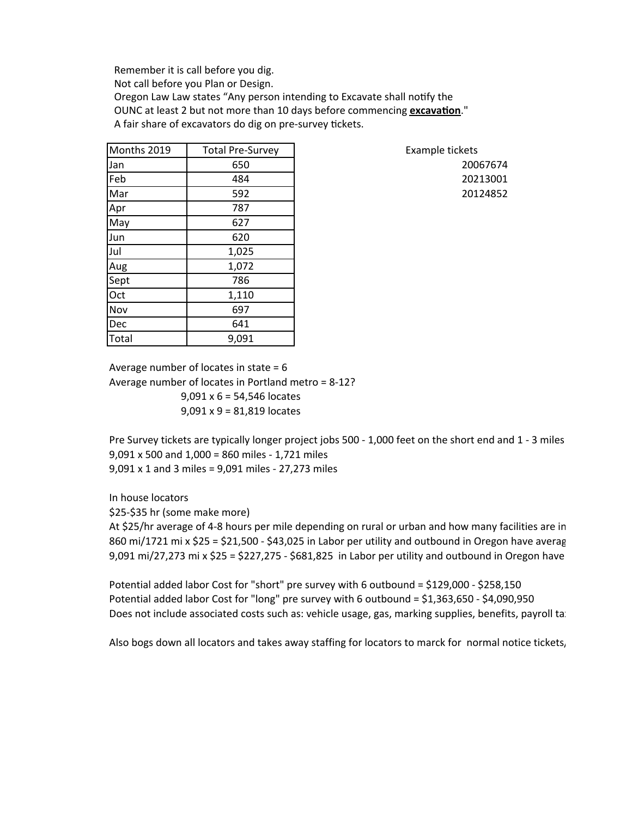Remember it is call before you dig. Not call before you Plan or Design. Oregon Law Law states "Any person intending to Excavate shall notify the OUNC at least 2 but not more than 10 days before commencing **excavation**." A fair share of excavators do dig on pre-survey tickets.

| Months 2019 | <b>Total Pre-Survey</b> | Example tickets |
|-------------|-------------------------|-----------------|
| Jan         | 650                     | 20067674        |
| Feb         | 484                     | 20213001        |
| Mar         | 592                     | 20124852        |
| Apr         | 787                     |                 |
| May         | 627                     |                 |
| Jun         | 620                     |                 |
| Jul         | 1,025                   |                 |
| Aug         | 1,072                   |                 |
| Sept        | 786                     |                 |
| Oct         | 1,110                   |                 |
| Nov         | 697                     |                 |
| Dec         | 641                     |                 |
| Total       | 9,091                   |                 |

Average number of locates in state  $= 6$ Average number of locates in Portland metro =  $8-12$ ?  $9,091 \times 6 = 54,546$  locates  $9,091 \times 9 = 81,819$  locates

Pre Survey tickets are typically longer project jobs 500 - 1,000 feet on the short end and 1 - 3 miles  $9,091 \times 500$  and  $1,000 = 860$  miles - 1,721 miles  $9,091 \times 1$  and 3 miles =  $9,091$  miles - 27,273 miles

In house locators

\$25-\$35 hr (some make more)

At \$25/hr average of 4-8 hours per mile depending on rural or urban and how many facilities are in 860 mi/1721 mi x \$25 = \$21,500 - \$43,025 in Labor per utility and outbound in Oregon have average 9,091 mi/27,273 mi x \$25 = \$227,275 - \$681,825 in Labor per utility and outbound in Oregon have

Potential added labor Cost for "short" pre survey with 6 outbound =  $$129,000$  -  $$258,150$ Potential added labor Cost for "long" pre survey with 6 outbound =  $$1,363,650$  -  $$4,090,950$ Does not include associated costs such as: vehicle usage, gas, marking supplies, benefits, payroll tal

Also bogs down all locators and takes away staffing for locators to marck for normal notice tickets,